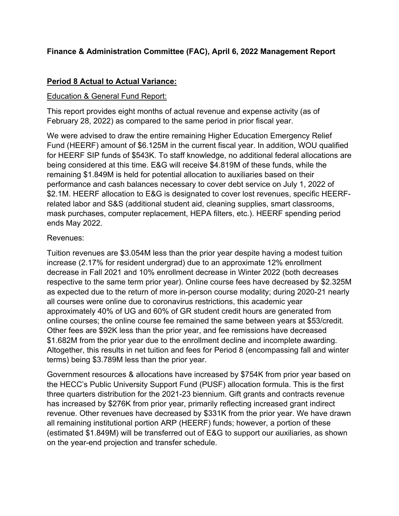# **Finance & Administration Committee (FAC), April 6, 2022 Management Report**

# **Period 8 Actual to Actual Variance:**

## **Education & General Fund Report:**

This report provides eight months of actual revenue and expense activity (as of February 28, 2022) as compared to the same period in prior fiscal year.

We were advised to draw the entire remaining Higher Education Emergency Relief Fund (HEERF) amount of \$6.125M in the current fiscal year. In addition, WOU qualified for HEERF SIP funds of \$543K. To staff knowledge, no additional federal allocations are being considered at this time. E&G will receive \$4.819M of these funds, while the remaining \$1.849M is held for potential allocation to auxiliaries based on their performance and cash balances necessary to cover debt service on July 1, 2022 of \$2.1M. HEERF allocation to E&G is designated to cover lost revenues, specific HEERFrelated labor and S&S (additional student aid, cleaning supplies, smart classrooms, mask purchases, computer replacement, HEPA filters, etc.). HEERF spending period ends May 2022.

## Revenues:

Tuition revenues are \$3.054M less than the prior year despite having a modest tuition increase (2.17% for resident undergrad) due to an approximate 12% enrollment decrease in Fall 2021 and 10% enrollment decrease in Winter 2022 (both decreases respective to the same term prior year). Online course fees have decreased by \$2.325M as expected due to the return of more in-person course modality; during 2020-21 nearly all courses were online due to coronavirus restrictions, this academic year approximately 40% of UG and 60% of GR student credit hours are generated from online courses; the online course fee remained the same between years at \$53/credit. Other fees are \$92K less than the prior year, and fee remissions have decreased \$1.682M from the prior year due to the enrollment decline and incomplete awarding. Altogether, this results in net tuition and fees for Period 8 (encompassing fall and winter terms) being \$3.789M less than the prior year.

Government resources & allocations have increased by \$754K from prior year based on the HECC's Public University Support Fund (PUSF) allocation formula. This is the first three quarters distribution for the 2021-23 biennium. Gift grants and contracts revenue has increased by \$276K from prior year, primarily reflecting increased grant indirect revenue. Other revenues have decreased by \$331K from the prior year. We have drawn all remaining institutional portion ARP (HEERF) funds; however, a portion of these (estimated \$1.849M) will be transferred out of E&G to support our auxiliaries, as shown on the year-end projection and transfer schedule.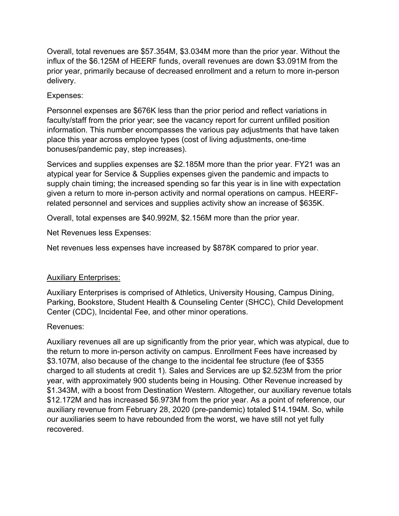Overall, total revenues are \$57.354M, \$3.034M more than the prior year. Without the influx of the \$6.125M of HEERF funds, overall revenues are down \$3.091M from the prior year, primarily because of decreased enrollment and a return to more in-person delivery.

# Expenses:

Personnel expenses are \$676K less than the prior period and reflect variations in faculty/staff from the prior year; see the vacancy report for current unfilled position information. This number encompasses the various pay adjustments that have taken place this year across employee types (cost of living adjustments, one-time bonuses/pandemic pay, step increases).

Services and supplies expenses are \$2.185M more than the prior year. FY21 was an atypical year for Service & Supplies expenses given the pandemic and impacts to supply chain timing; the increased spending so far this year is in line with expectation given a return to more in-person activity and normal operations on campus. HEERFrelated personnel and services and supplies activity show an increase of \$635K.

Overall, total expenses are \$40.992M, \$2.156M more than the prior year.

Net Revenues less Expenses:

Net revenues less expenses have increased by \$878K compared to prior year.

# Auxiliary Enterprises:

Auxiliary Enterprises is comprised of Athletics, University Housing, Campus Dining, Parking, Bookstore, Student Health & Counseling Center (SHCC), Child Development Center (CDC), Incidental Fee, and other minor operations.

## Revenues:

Auxiliary revenues all are up significantly from the prior year, which was atypical, due to the return to more in-person activity on campus. Enrollment Fees have increased by \$3.107M, also because of the change to the incidental fee structure (fee of \$355 charged to all students at credit 1). Sales and Services are up \$2.523M from the prior year, with approximately 900 students being in Housing. Other Revenue increased by \$1.343M, with a boost from Destination Western. Altogether, our auxiliary revenue totals \$12.172M and has increased \$6.973M from the prior year. As a point of reference, our auxiliary revenue from February 28, 2020 (pre-pandemic) totaled \$14.194M. So, while our auxiliaries seem to have rebounded from the worst, we have still not yet fully recovered.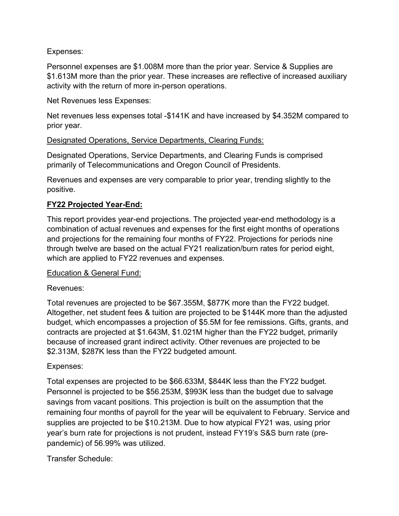# Expenses:

Personnel expenses are \$1.008M more than the prior year. Service & Supplies are \$1.613M more than the prior year. These increases are reflective of increased auxiliary activity with the return of more in-person operations.

Net Revenues less Expenses:

Net revenues less expenses total -\$141K and have increased by \$4.352M compared to prior year.

# Designated Operations, Service Departments, Clearing Funds:

Designated Operations, Service Departments, and Clearing Funds is comprised primarily of Telecommunications and Oregon Council of Presidents.

Revenues and expenses are very comparable to prior year, trending slightly to the positive.

# **FY22 Projected Year-End:**

This report provides year-end projections. The projected year-end methodology is a combination of actual revenues and expenses for the first eight months of operations and projections for the remaining four months of FY22. Projections for periods nine through twelve are based on the actual FY21 realization/burn rates for period eight, which are applied to FY22 revenues and expenses.

## Education & General Fund:

# Revenues:

Total revenues are projected to be \$67.355M, \$877K more than the FY22 budget. Altogether, net student fees & tuition are projected to be \$144K more than the adjusted budget, which encompasses a projection of \$5.5M for fee remissions. Gifts, grants, and contracts are projected at \$1.643M, \$1.021M higher than the FY22 budget, primarily because of increased grant indirect activity. Other revenues are projected to be \$2.313M, \$287K less than the FY22 budgeted amount.

# Expenses:

Total expenses are projected to be \$66.633M, \$844K less than the FY22 budget. Personnel is projected to be \$56.253M, \$993K less than the budget due to salvage savings from vacant positions. This projection is built on the assumption that the remaining four months of payroll for the year will be equivalent to February. Service and supplies are projected to be \$10.213M. Due to how atypical FY21 was, using prior year's burn rate for projections is not prudent, instead FY19's S&S burn rate (prepandemic) of 56.99% was utilized.

Transfer Schedule: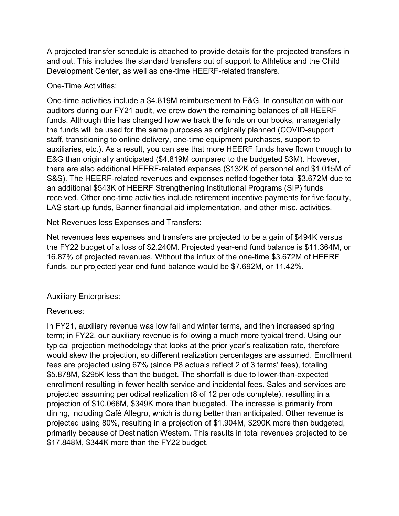A projected transfer schedule is attached to provide details for the projected transfers in and out. This includes the standard transfers out of support to Athletics and the Child Development Center, as well as one-time HEERF-related transfers.

# One-Time Activities:

One-time activities include a \$4.819M reimbursement to E&G. In consultation with our auditors during our FY21 audit, we drew down the remaining balances of all HEERF funds. Although this has changed how we track the funds on our books, managerially the funds will be used for the same purposes as originally planned (COVID-support staff, transitioning to online delivery, one-time equipment purchases, support to auxiliaries, etc.). As a result, you can see that more HEERF funds have flown through to E&G than originally anticipated (\$4.819M compared to the budgeted \$3M). However, there are also additional HEERF-related expenses (\$132K of personnel and \$1.015M of S&S). The HEERF-related revenues and expenses netted together total \$3.672M due to an additional \$543K of HEERF Strengthening Institutional Programs (SIP) funds received. Other one-time activities include retirement incentive payments for five faculty, LAS start-up funds, Banner financial aid implementation, and other misc. activities.

Net Revenues less Expenses and Transfers:

Net revenues less expenses and transfers are projected to be a gain of \$494K versus the FY22 budget of a loss of \$2.240M. Projected year-end fund balance is \$11.364M, or 16.87% of projected revenues. Without the influx of the one-time \$3.672M of HEERF funds, our projected year end fund balance would be \$7.692M, or 11.42%.

# Auxiliary Enterprises:

## Revenues:

In FY21, auxiliary revenue was low fall and winter terms, and then increased spring term; in FY22, our auxiliary revenue is following a much more typical trend. Using our typical projection methodology that looks at the prior year's realization rate, therefore would skew the projection, so different realization percentages are assumed. Enrollment fees are projected using 67% (since P8 actuals reflect 2 of 3 terms' fees), totaling \$5.878M, \$295K less than the budget. The shortfall is due to lower-than-expected enrollment resulting in fewer health service and incidental fees. Sales and services are projected assuming periodical realization (8 of 12 periods complete), resulting in a projection of \$10.066M, \$349K more than budgeted. The increase is primarily from dining, including Café Allegro, which is doing better than anticipated. Other revenue is projected using 80%, resulting in a projection of \$1.904M, \$290K more than budgeted, primarily because of Destination Western. This results in total revenues projected to be \$17.848M, \$344K more than the FY22 budget.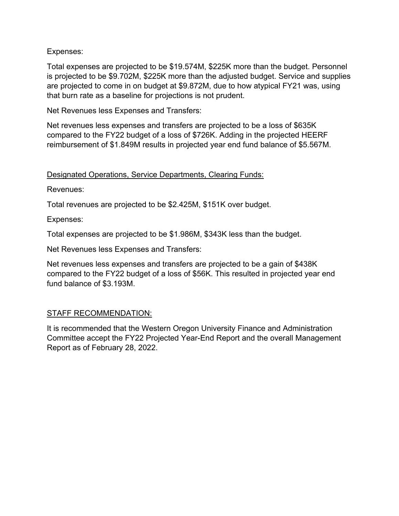# Expenses:

Total expenses are projected to be \$19.574M, \$225K more than the budget. Personnel is projected to be \$9.702M, \$225K more than the adjusted budget. Service and supplies are projected to come in on budget at \$9.872M, due to how atypical FY21 was, using that burn rate as a baseline for projections is not prudent.

Net Revenues less Expenses and Transfers:

Net revenues less expenses and transfers are projected to be a loss of \$635K compared to the FY22 budget of a loss of \$726K. Adding in the projected HEERF reimbursement of \$1.849M results in projected year end fund balance of \$5.567M.

# Designated Operations, Service Departments, Clearing Funds:

Revenues:

Total revenues are projected to be \$2.425M, \$151K over budget.

Expenses:

Total expenses are projected to be \$1.986M, \$343K less than the budget.

Net Revenues less Expenses and Transfers:

Net revenues less expenses and transfers are projected to be a gain of \$438K compared to the FY22 budget of a loss of \$56K. This resulted in projected year end fund balance of \$3.193M.

## STAFF RECOMMENDATION:

It is recommended that the Western Oregon University Finance and Administration Committee accept the FY22 Projected Year-End Report and the overall Management Report as of February 28, 2022.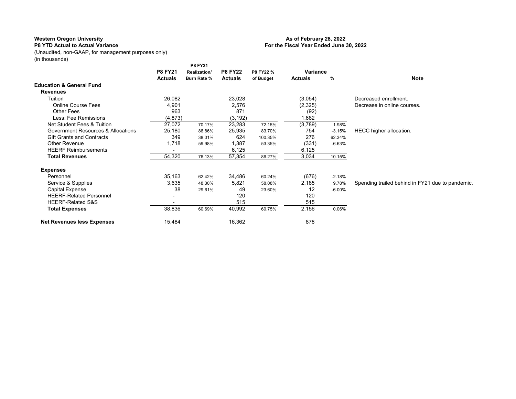### **P8 YTD Actual to Actual Variance**

#### **As of February 28, 2022 For the Fiscal Year Ended June 30, 2022**

(Unaudited, non-GAAP, for management purposes only) (in thousands)

|                                     |                          | <b>P8 FY21</b>     |                |           |                |          |                                                  |
|-------------------------------------|--------------------------|--------------------|----------------|-----------|----------------|----------|--------------------------------------------------|
|                                     | <b>P8 FY21</b>           | Realization/       | <b>P8 FY22</b> | P8 FY22 % | Variance       |          |                                                  |
|                                     | <b>Actuals</b>           | <b>Burn Rate %</b> | <b>Actuals</b> | of Budget | <b>Actuals</b> | %        | <b>Note</b>                                      |
| <b>Education &amp; General Fund</b> |                          |                    |                |           |                |          |                                                  |
| <b>Revenues</b>                     |                          |                    |                |           |                |          |                                                  |
| Tuition                             | 26,082                   |                    | 23,028         |           | (3,054)        |          | Decreased enrollment.                            |
| <b>Online Course Fees</b>           | 4,901                    |                    | 2,576          |           | (2, 325)       |          | Decrease in online courses.                      |
| <b>Other Fees</b>                   | 963                      |                    | 871            |           | (92)           |          |                                                  |
| Less: Fee Remissions                | (4, 873)                 |                    | (3, 192)       |           | 1,682          |          |                                                  |
| Net Student Fees & Tuition          | 27,072                   | 70.17%             | 23,283         | 72.15%    | (3,789)        | 1.98%    |                                                  |
| Government Resources & Allocations  | 25,180                   | 86.86%             | 25,935         | 83.70%    | 754            | $-3.15%$ | HECC higher allocation.                          |
| <b>Gift Grants and Contracts</b>    | 349                      | 38.01%             | 624            | 100.35%   | 276            | 62.34%   |                                                  |
| Other Revenue                       | 1,718                    | 59.98%             | 1,387          | 53.35%    | (331)          | $-6.63%$ |                                                  |
| <b>HEERF Reimbursements</b>         |                          |                    | 6,125          |           | 6,125          |          |                                                  |
| <b>Total Revenues</b>               | 54,320                   | 76.13%             | 57,354         | 86.27%    | 3,034          | 10.15%   |                                                  |
| <b>Expenses</b>                     |                          |                    |                |           |                |          |                                                  |
| Personnel                           | 35,163                   | 62.42%             | 34,486         | 60.24%    | (676)          | $-2.18%$ |                                                  |
| Service & Supplies                  | 3,635                    | 48.30%             | 5,821          | 58.08%    | 2,185          | 9.78%    | Spending trailed behind in FY21 due to pandemic. |
| <b>Capital Expense</b>              | 38                       | 29.61%             | 49             | 23.60%    | 12             | $-6.00%$ |                                                  |
| <b>HEERF-Related Personnel</b>      |                          |                    | 120            |           | 120            |          |                                                  |
| <b>HEERF-Related S&amp;S</b>        | $\overline{\phantom{0}}$ |                    | 515            |           | 515            |          |                                                  |
| <b>Total Expenses</b>               | 38,836                   | 60.69%             | 40,992         | 60.75%    | 2,156          | 0.06%    |                                                  |
| <b>Net Revenues less Expenses</b>   | 15,484                   |                    | 16,362         |           | 878            |          |                                                  |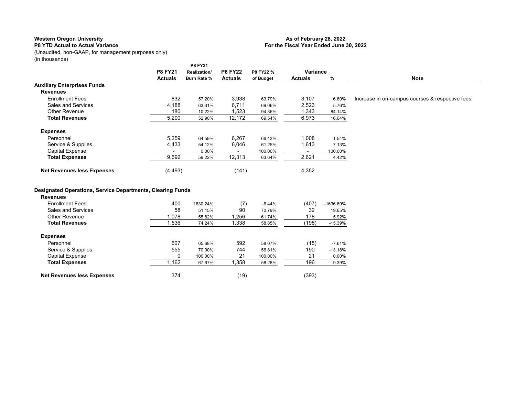### **P8 YTD Actual to Actual Variance**

#### **As of February 28, 2022 For the Fiscal Year Ended June 30, 2022**

(Unaudited, non-GAAP, for management purposes only) (in thousands)

|                                                                                      |                          | P8 FY21      |                |           |                          |           |                                                  |
|--------------------------------------------------------------------------------------|--------------------------|--------------|----------------|-----------|--------------------------|-----------|--------------------------------------------------|
|                                                                                      | <b>P8 FY21</b>           | Realization/ | <b>P8 FY22</b> | P8 FY22 % | Variance                 |           |                                                  |
|                                                                                      | <b>Actuals</b>           | Burn Rate %  | <b>Actuals</b> | of Budget | <b>Actuals</b>           | $\%$      | <b>Note</b>                                      |
| <b>Auxiliary Enterprises Funds</b>                                                   |                          |              |                |           |                          |           |                                                  |
| <b>Revenues</b>                                                                      |                          |              |                |           |                          |           |                                                  |
| <b>Enrollment Fees</b>                                                               | 832                      | 57.20%       | 3,938          | 63.79%    | 3,107                    | 6.60%     | Increase in on-campus courses & respective fees. |
| <b>Sales and Services</b>                                                            | 4,188                    | 63.31%       | 6,711          | 69.06%    | 2,523                    | 5.76%     |                                                  |
| <b>Other Revenue</b>                                                                 | 180                      | 10.22%       | 1,523          | 94.36%    | 1,343                    | 84.14%    |                                                  |
| <b>Total Revenues</b>                                                                | 5,200                    | 52.90%       | 12,172         | 69.54%    | 6,973                    | 16.64%    |                                                  |
| <b>Expenses</b>                                                                      |                          |              |                |           |                          |           |                                                  |
| Personnel                                                                            | 5,259                    | 64.59%       | 6,267          | 66.13%    | 1,008                    | 1.54%     |                                                  |
| Service & Supplies                                                                   | 4,433                    | 54.12%       | 6,046          | 61.25%    | 1,613                    | 7.13%     |                                                  |
| <b>Capital Expense</b>                                                               | $\overline{\phantom{a}}$ | 0.00%        | $\sim$         | 100.00%   | $\overline{\phantom{a}}$ | 100.00%   |                                                  |
| <b>Total Expenses</b>                                                                | 9,692                    | 59.22%       | 12,313         | 63.64%    | 2,621                    | 4.42%     |                                                  |
| <b>Net Revenues less Expenses</b>                                                    | (4, 493)                 |              | (141)          |           | 4,352                    |           |                                                  |
|                                                                                      |                          |              |                |           |                          |           |                                                  |
| <b>Designated Operations, Service Departments, Clearing Funds</b><br><b>Revenues</b> |                          |              |                |           |                          |           |                                                  |
| <b>Enrollment Fees</b>                                                               | 400                      | 1630.24%     | (7)            | $-6.44%$  | (407)                    | -1636.69% |                                                  |
| Sales and Services                                                                   | 58                       | 51.15%       | 90             | 70.79%    | 32                       | 19.65%    |                                                  |
| <b>Other Revenue</b>                                                                 | 1,078                    | 55.82%       | 1,256          | 61.74%    | 178                      | 5.92%     |                                                  |
| <b>Total Revenues</b>                                                                | 1,536                    | 74.24%       | 1,338          | 58.85%    | (198)                    | $-15.39%$ |                                                  |
| <b>Expenses</b>                                                                      |                          |              |                |           |                          |           |                                                  |
| Personnel                                                                            | 607                      | 65.68%       | 592            | 58.07%    | (15)                     | $-7.61%$  |                                                  |
| Service & Supplies                                                                   | 555                      | 70.00%       | 744            | 56.81%    | 190                      | $-13.18%$ |                                                  |
| <b>Capital Expense</b>                                                               | 0                        | 100.00%      | 21             | 100.00%   | 21                       | 0.00%     |                                                  |
| <b>Total Expenses</b>                                                                | 1,162                    | 67.67%       | 1,358          | 58.28%    | 196                      | $-9.39%$  |                                                  |
| <b>Net Revenues less Expenses</b>                                                    | 374                      |              | (19)           |           | (393)                    |           |                                                  |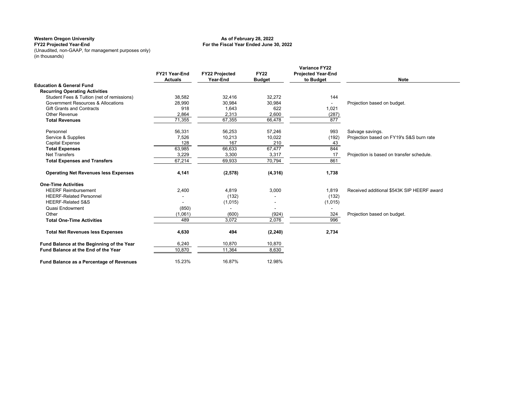#### **For the Fiscal Year Ended June 30, 2022 As of February 28, 2022**

**FY22 Projected Year-End** (Unaudited, non-GAAP, for management purposes only) (in thousands)

|                                             | FY21 Year-End<br><b>Actuals</b> | <b>FY22 Projected</b><br>Year-End | <b>FY22</b><br><b>Budget</b> | <b>Variance FY22</b><br><b>Projected Year-End</b><br>to Budget | <b>Note</b>                                |
|---------------------------------------------|---------------------------------|-----------------------------------|------------------------------|----------------------------------------------------------------|--------------------------------------------|
| <b>Education &amp; General Fund</b>         |                                 |                                   |                              |                                                                |                                            |
| <b>Recurring Operating Activities</b>       |                                 |                                   |                              |                                                                |                                            |
| Student Fees & Tuition (net of remissions)  | 38.582                          | 32,416                            | 32.272                       | 144                                                            |                                            |
| Government Resources & Allocations          | 28,990                          | 30,984                            | 30,984                       | $\overline{\phantom{a}}$                                       | Projection based on budget.                |
| <b>Gift Grants and Contracts</b>            | 918                             | 1.643                             | 622                          | 1,021                                                          |                                            |
| Other Revenue                               | 2,864                           | 2,313                             | 2,600                        | (287)                                                          |                                            |
| <b>Total Revenues</b>                       | 71,355                          | 67,355                            | 66,478                       | 877                                                            |                                            |
| Personnel                                   | 56,331                          | 56,253                            | 57,246                       | 993                                                            | Salvage savings.                           |
| Service & Supplies                          | 7,526                           | 10,213                            | 10,022                       | (192)                                                          | Projection based on FY19's S&S burn rate   |
| <b>Capital Expense</b>                      | 128                             | 167                               | 210                          | 43                                                             |                                            |
| <b>Total Expenses</b>                       | 63,985                          | 66,633                            | 67,477                       | 844                                                            |                                            |
| <b>Net Transfers</b>                        | 3,229                           | 3,300                             | 3,317                        | 17                                                             | Projection is based on transfer schedule.  |
| <b>Total Expenses and Transfers</b>         | 67,214                          | 69,933                            | 70,794                       | 861                                                            |                                            |
| <b>Operating Net Revenues less Expenses</b> | 4,141                           | (2,578)                           | (4, 316)                     | 1,738                                                          |                                            |
| <b>One-Time Activities</b>                  |                                 |                                   |                              |                                                                |                                            |
| <b>HEERF Reimbursement</b>                  | 2,400                           | 4,819                             | 3,000                        | 1,819                                                          | Received additional \$543K SIP HEERF award |
| <b>HEERF-Related Personnel</b>              |                                 | (132)                             |                              | (132)                                                          |                                            |
| <b>HEERF-Related S&amp;S</b>                |                                 | (1,015)                           |                              | (1,015)                                                        |                                            |
| Quasi Endowment                             | (850)                           | ٠                                 |                              |                                                                |                                            |
| Other                                       | (1,061)                         | (600)                             | (924)                        | 324                                                            | Projection based on budget.                |
| <b>Total One-Time Activities</b>            | 489                             | 3,072                             | 2,076                        | 996                                                            |                                            |
| <b>Total Net Revenues less Expenses</b>     | 4,630                           | 494                               | (2, 240)                     | 2,734                                                          |                                            |
| Fund Balance at the Beginning of the Year   | 6,240                           | 10,870                            | 10,870                       |                                                                |                                            |
| Fund Balance at the End of the Year         | 10,870                          | 11,364                            | 8,630                        |                                                                |                                            |
| Fund Balance as a Percentage of Revenues    | 15.23%                          | 16.87%                            | 12.98%                       |                                                                |                                            |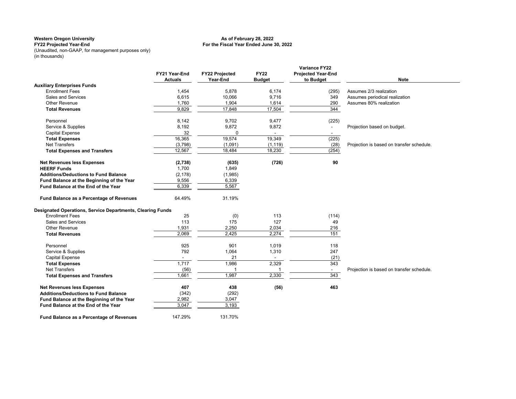#### **For the Fiscal Year Ended June 30, 2022 As of February 28, 2022**

**FY22 Projected Year-End** (Unaudited, non-GAAP, for management purposes only) (in thousands)

|                                                            |                |                       |                          | <b>Variance FY22</b>      |                                           |
|------------------------------------------------------------|----------------|-----------------------|--------------------------|---------------------------|-------------------------------------------|
|                                                            | FY21 Year-End  | <b>FY22 Projected</b> | <b>FY22</b>              | <b>Projected Year-End</b> |                                           |
|                                                            | <b>Actuals</b> | Year-End              | <b>Budget</b>            | to Budget                 | <b>Note</b>                               |
| <b>Auxiliary Enterprises Funds</b>                         |                |                       |                          |                           |                                           |
| <b>Enrollment Fees</b>                                     | 1,454          | 5,878                 | 6,174                    | (295)                     | Assumes 2/3 realization                   |
| Sales and Services                                         | 6,615          | 10,066                | 9,716                    | 349                       | Assumes periodical realization            |
| <b>Other Revenue</b>                                       | 1,760          | 1,904                 | 1,614                    | 290                       | Assumes 80% realization                   |
| <b>Total Revenues</b>                                      | 9,829          | 17,848                | 17,504                   | 344                       |                                           |
| Personnel                                                  | 8,142          | 9,702                 | 9,477                    | (225)                     |                                           |
| Service & Supplies                                         | 8,192          | 9,872                 | 9,872                    | $\overline{\phantom{a}}$  | Projection based on budget.               |
| <b>Capital Expense</b>                                     | 32             | 0                     | $\overline{\phantom{a}}$ | $\sim$                    |                                           |
| <b>Total Expenses</b>                                      | 16,365         | 19,574                | 19,349                   | (225)                     |                                           |
| <b>Net Transfers</b>                                       | (3,798)        | (1,091)               | (1, 119)                 | (28)                      | Projection is based on transfer schedule. |
| <b>Total Expenses and Transfers</b>                        | 12,567         | 18,484                | 18,230                   | (254)                     |                                           |
| <b>Net Revenues less Expenses</b>                          | (2,738)        | (635)                 | (726)                    | 90                        |                                           |
| <b>HEERF Funds</b>                                         | 1,700          | 1,849                 |                          |                           |                                           |
| <b>Additions/Deductions to Fund Balance</b>                | (2, 178)       | (1,985)               |                          |                           |                                           |
| Fund Balance at the Beginning of the Year                  | 9,556          | 6,339                 |                          |                           |                                           |
| Fund Balance at the End of the Year                        | 6,339          | 5,567                 |                          |                           |                                           |
| Fund Balance as a Percentage of Revenues                   | 64.49%         | 31.19%                |                          |                           |                                           |
| Designated Operations, Service Departments, Clearing Funds |                |                       |                          |                           |                                           |
| <b>Enrollment Fees</b>                                     | 25             | (0)                   | 113                      | (114)                     |                                           |
| Sales and Services                                         | 113            | 175                   | 127                      | 49                        |                                           |
| Other Revenue                                              | 1,931          | 2,250                 | 2,034                    | 216                       |                                           |
| <b>Total Revenues</b>                                      | 2,069          | 2,425                 | 2,274                    | 151                       |                                           |
| Personnel                                                  | 925            | 901                   | 1,019                    | 118                       |                                           |
| Service & Supplies                                         | 792            | 1,064                 | 1,310                    | 247                       |                                           |
| <b>Capital Expense</b>                                     | $\sim$         | 21                    | $\sim$                   | (21)                      |                                           |
| <b>Total Expenses</b>                                      | 1,717          | 1,986                 | 2,329                    | 343                       |                                           |
| <b>Net Transfers</b>                                       | (56)           |                       |                          | $\sim$                    | Projection is based on transfer schedule. |
| <b>Total Expenses and Transfers</b>                        | 1,661          | 1,987                 | 2,330                    | 343                       |                                           |
| <b>Net Revenues less Expenses</b>                          | 407            | 438                   | (56)                     | 463                       |                                           |
| <b>Additions/Deductions to Fund Balance</b>                | (342)          | (292)                 |                          |                           |                                           |
| Fund Balance at the Beginning of the Year                  | 2,982          | 3,047                 |                          |                           |                                           |
| Fund Balance at the End of the Year                        | 3,047          | 3,193                 |                          |                           |                                           |
| Fund Balance as a Percentage of Revenues                   | 147.29%        | 131.70%               |                          |                           |                                           |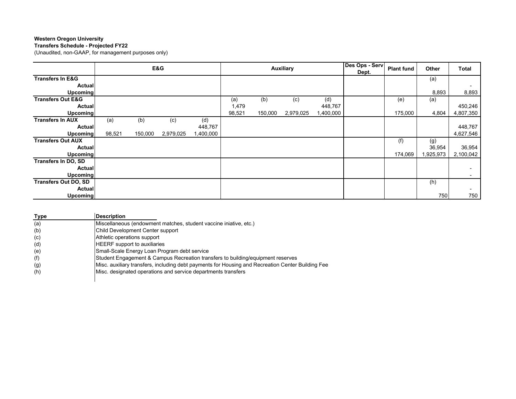**Transfers Schedule - Projected FY22**

(Unaudited, non-GAAP, for management purposes only)

|                              | E&G    |         | <b>Auxiliary</b> |           |        |         | Des Ops - Serv | <b>Plant fund</b> | Other | Total   |          |           |
|------------------------------|--------|---------|------------------|-----------|--------|---------|----------------|-------------------|-------|---------|----------|-----------|
|                              |        |         |                  |           |        |         |                | Dept.             |       |         |          |           |
| <b>Transfers In E&amp;G</b>  |        |         |                  |           |        |         |                |                   |       |         | (a)      |           |
| <b>Actual</b>                |        |         |                  |           |        |         |                |                   |       |         |          |           |
| <b>Upcoming</b>              |        |         |                  |           |        |         |                |                   |       |         | 8,893    | 8,893     |
| <b>Transfers Out E&amp;G</b> |        |         |                  |           | (a)    | (b)     | (c)            | (d)               |       | (e)     | (a)      |           |
| <b>Actual</b>                |        |         |                  |           | 1,479  |         |                | 448,767           |       |         |          | 450,246   |
| <b>Upcoming</b>              |        |         |                  |           | 98,521 | 150,000 | 2,979,025      | 1,400,000         |       | 175,000 | 4,804    | 4,807,350 |
| <b>Transfers In AUX</b>      | (a)    | (b)     | (c)              | (d)       |        |         |                |                   |       |         |          |           |
| <b>Actual</b>                |        |         |                  | 448,767   |        |         |                |                   |       |         |          | 448,767   |
| <b>Upcoming</b>              | 98,521 | 150,000 | 2,979,025        | 1,400,000 |        |         |                |                   |       |         |          | 4,627,546 |
| <b>Transfers Out AUX</b>     |        |         |                  |           |        |         |                |                   |       | (f)     | (g)      |           |
| <b>Actual</b>                |        |         |                  |           |        |         |                |                   |       |         | 36,954   | 36,954    |
| <b>Upcoming</b>              |        |         |                  |           |        |         |                |                   |       | 174,069 | ,925,973 | 2,100,042 |
| <b>Transfers In DO, SD</b>   |        |         |                  |           |        |         |                |                   |       |         |          |           |
| <b>Actual</b>                |        |         |                  |           |        |         |                |                   |       |         |          |           |
| <b>Upcoming</b>              |        |         |                  |           |        |         |                |                   |       |         |          |           |
| <b>Transfers Out DO, SD</b>  |        |         |                  |           |        |         |                |                   |       |         | (h)      |           |
| <b>Actual</b>                |        |         |                  |           |        |         |                |                   |       |         |          |           |
| <b>Upcoming</b>              |        |         |                  |           |        |         |                |                   |       |         | 750      | 750       |

| Type | <b>Description</b>                                                                                |
|------|---------------------------------------------------------------------------------------------------|
| (a)  | Miscellaneous (endowment matches, student vaccine iniative, etc.)                                 |
| (b)  | Child Development Center support                                                                  |
| (c)  | Athletic operations support                                                                       |
| (d)  | <b>HEERF</b> support to auxiliaries                                                               |
| (e)  | Small-Scale Energy Loan Program debt service                                                      |
| (f)  | Student Engagement & Campus Recreation transfers to building/equipment reserves                   |
| (g)  | Misc. auxiliary transfers, including debt payments for Housing and Recreation Center Building Fee |
| (h)  | Misc. designated operations and service departments transfers                                     |
|      |                                                                                                   |